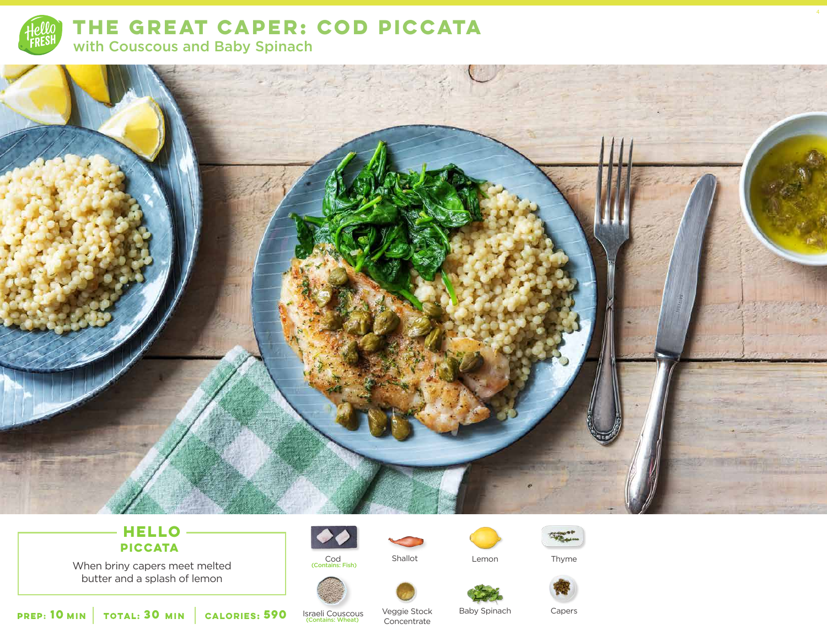

**THE GREAT CAPER: COD PICCATA**  with Couscous and Baby Spinach



# **HELLO PICCATA**

When briny capers meet melted butter and a splash of lemon





Cod Shallot Lemon<br>
Contains: Fish) Shallot



Thyme

4

**10 30 MIN MIN CALORIES:**

**590** Israeli Couscous

Veggie Stock Baby Spinach Capers Concentrate

Baby Spinach